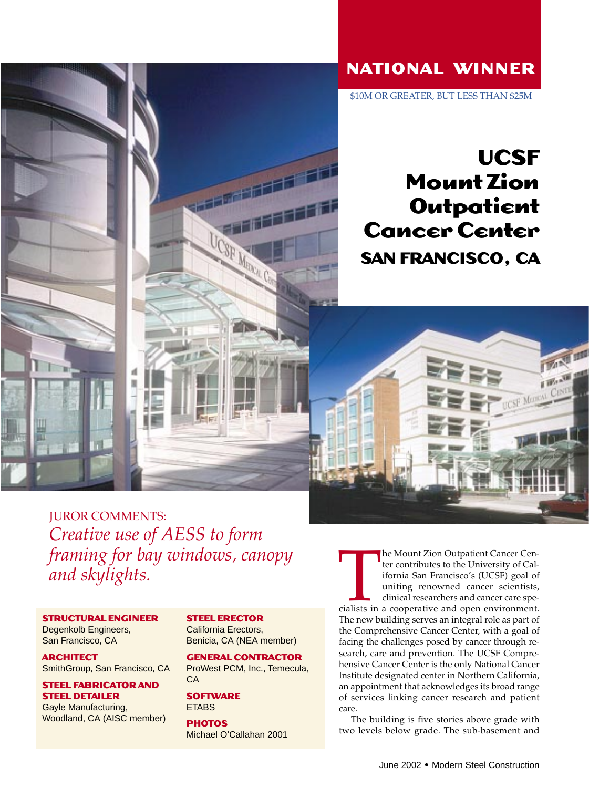## **NATIONAL WINNER**

\$10M OR GREATER, BUT LESS THAN \$25M

## **UCSF Mount Zion Outpatient Cancer Center SAN FRANCISCO, CA**



**JUROR COMMENTS:** *Creative use of AESS to form framing for bay windows, canopy and skylights.*

**STRUCTURAL ENGINEER**

Degenkolb Engineers, San Francisco, CA

**ARCHITECT** SmithGroup, San Francisco, CA

**STEEL FABRICATOR AND STEEL DETAILER**

Gayle Manufacturing, Woodland, CA (AISC member)

## **STEEL ERECTOR**

California Erectors, Benicia, CA (NEA member)

## **GENERAL CONTRACTOR**

**AND REAL PROPERTY** 

ProWest PCM, Inc., Temecula, CA

**SOFTWARE ETABS** 

**PHOTOS** Michael O'Callahan 2001 The Mount Zion Outpatient Cancer Center contributes to the University of California San Francisco's (UCSF) goal of uniting renowned cancer scientists, clinical researchers and cancer care specialists in a cooperative and o ter contributes to the University of California San Francisco's (UCSF) goal of uniting renowned cancer scientists, clinical researchers and cancer care spe-The new building serves an integral role as part of the Comprehensive Cancer Center, with a goal of facing the challenges posed by cancer through research, care and prevention. The UCSF Comprehensive Cancer Center is the only National Cancer Institute designated center in Northern California, an appointment that acknowledges its broad range of services linking cancer research and patient care.

The building is five stories above grade with two levels below grade. The sub-basement and